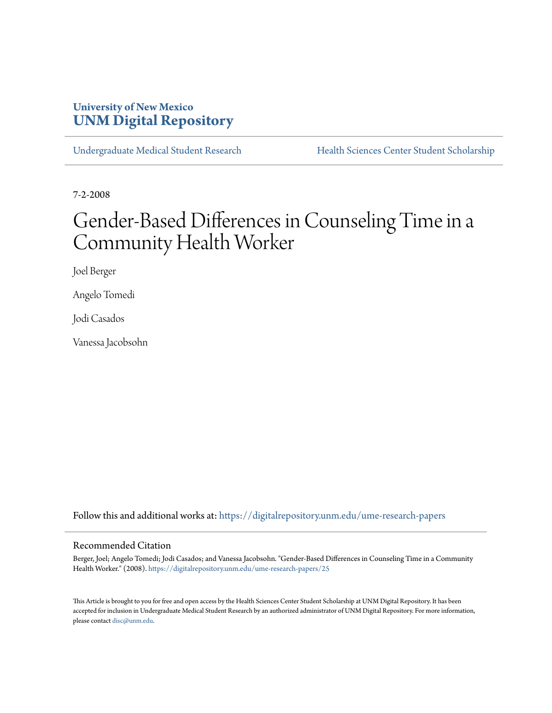### **University of New Mexico [UNM Digital Repository](https://digitalrepository.unm.edu?utm_source=digitalrepository.unm.edu%2Fume-research-papers%2F25&utm_medium=PDF&utm_campaign=PDFCoverPages)**

[Undergraduate Medical Student Research](https://digitalrepository.unm.edu/ume-research-papers?utm_source=digitalrepository.unm.edu%2Fume-research-papers%2F25&utm_medium=PDF&utm_campaign=PDFCoverPages) [Health Sciences Center Student Scholarship](https://digitalrepository.unm.edu/hsc-students?utm_source=digitalrepository.unm.edu%2Fume-research-papers%2F25&utm_medium=PDF&utm_campaign=PDFCoverPages)

7-2-2008

# Gender-Based Differences in Counseling Time in a Community Health Worker

Joel Berger

Angelo Tomedi

Jodi Casados

Vanessa Jacobsohn

Follow this and additional works at: [https://digitalrepository.unm.edu/ume-research-papers](https://digitalrepository.unm.edu/ume-research-papers?utm_source=digitalrepository.unm.edu%2Fume-research-papers%2F25&utm_medium=PDF&utm_campaign=PDFCoverPages)

#### Recommended Citation

Berger, Joel; Angelo Tomedi; Jodi Casados; and Vanessa Jacobsohn. "Gender-Based Differences in Counseling Time in a Community Health Worker." (2008). [https://digitalrepository.unm.edu/ume-research-papers/25](https://digitalrepository.unm.edu/ume-research-papers/25?utm_source=digitalrepository.unm.edu%2Fume-research-papers%2F25&utm_medium=PDF&utm_campaign=PDFCoverPages)

This Article is brought to you for free and open access by the Health Sciences Center Student Scholarship at UNM Digital Repository. It has been accepted for inclusion in Undergraduate Medical Student Research by an authorized administrator of UNM Digital Repository. For more information, please contact [disc@unm.edu.](mailto:disc@unm.edu)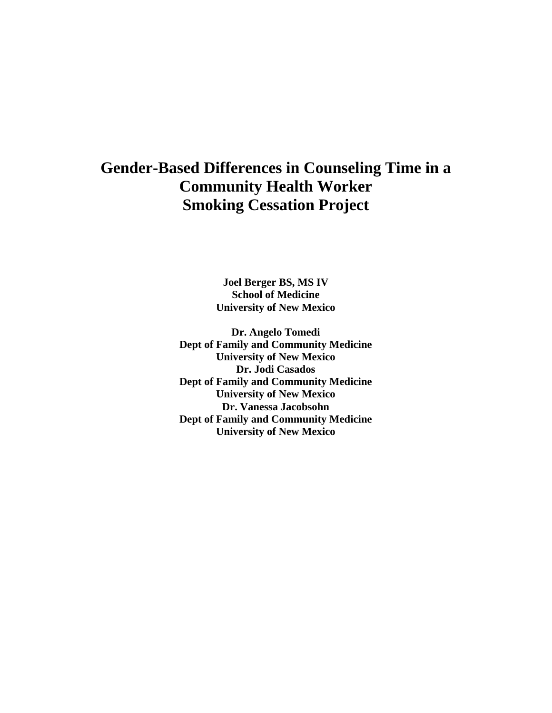## **Gender-Based Differences in Counseling Time in a Community Health Worker Smoking Cessation Project**

**Joel Berger BS, MS IV School of Medicine University of New Mexico** 

**Dr. Angelo Tomedi Dept of Family and Community Medicine University of New Mexico Dr. Jodi Casados Dept of Family and Community Medicine University of New Mexico Dr. Vanessa Jacobsohn Dept of Family and Community Medicine University of New Mexico**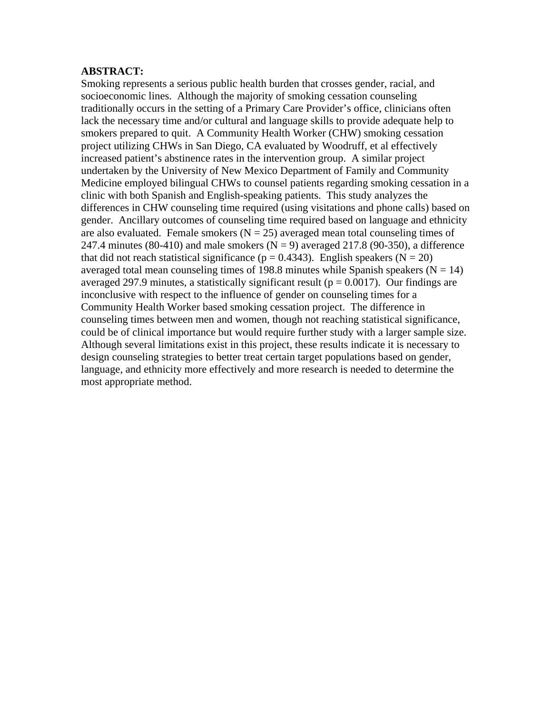#### **ABSTRACT:**

Smoking represents a serious public health burden that crosses gender, racial, and socioeconomic lines. Although the majority of smoking cessation counseling traditionally occurs in the setting of a Primary Care Provider's office, clinicians often lack the necessary time and/or cultural and language skills to provide adequate help to smokers prepared to quit. A Community Health Worker (CHW) smoking cessation project utilizing CHWs in San Diego, CA evaluated by Woodruff, et al effectively increased patient's abstinence rates in the intervention group. A similar project undertaken by the University of New Mexico Department of Family and Community Medicine employed bilingual CHWs to counsel patients regarding smoking cessation in a clinic with both Spanish and English-speaking patients. This study analyzes the differences in CHW counseling time required (using visitations and phone calls) based on gender. Ancillary outcomes of counseling time required based on language and ethnicity are also evaluated. Female smokers  $(N = 25)$  averaged mean total counseling times of 247.4 minutes (80-410) and male smokers ( $N = 9$ ) averaged 217.8 (90-350), a difference that did not reach statistical significance ( $p = 0.4343$ ). English speakers ( $N = 20$ ) averaged total mean counseling times of 198.8 minutes while Spanish speakers ( $N = 14$ ) averaged 297.9 minutes, a statistically significant result ( $p = 0.0017$ ). Our findings are inconclusive with respect to the influence of gender on counseling times for a Community Health Worker based smoking cessation project. The difference in counseling times between men and women, though not reaching statistical significance, could be of clinical importance but would require further study with a larger sample size. Although several limitations exist in this project, these results indicate it is necessary to design counseling strategies to better treat certain target populations based on gender, language, and ethnicity more effectively and more research is needed to determine the most appropriate method.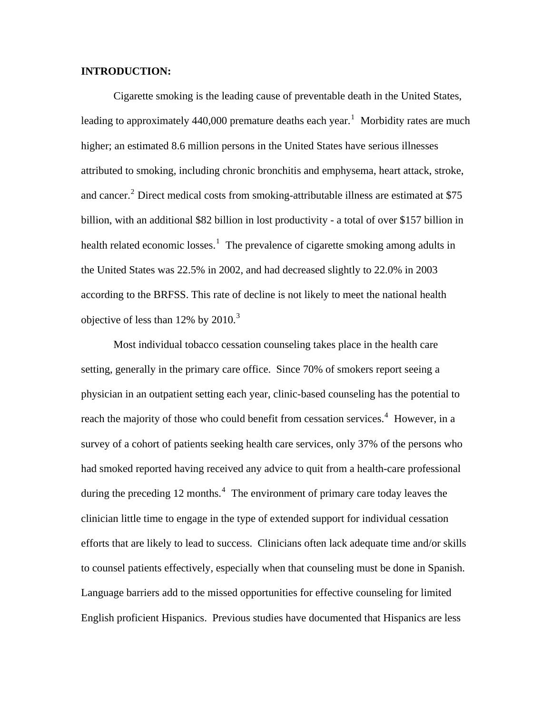#### **INTRODUCTION:**

Cigarette smoking is the leading cause of preventable death in the United States, leading to approximately 440,000 premature deaths each year.<sup>[1](#page-20-0)</sup> Morbidity rates are much higher; an estimated 8.6 million persons in the United States have serious illnesses attributed to smoking, including chronic bronchitis and emphysema, heart attack, stroke, and cancer.<sup>[2](#page-20-1)</sup> Direct medical costs from smoking-attributable illness are estimated at \$75 billion, with an additional \$82 billion in lost productivity - a total of over \$157 billion in health related economic losses.<sup>[1](#page-20-1)</sup> The prevalence of cigarette smoking among adults in the United States was 22.5% in 2002, and had decreased slightly to 22.0% in 2003 according to the BRFSS. This rate of decline is not likely to meet the national health objective of less than  $12\%$  by  $2010.<sup>3</sup>$  $2010.<sup>3</sup>$  $2010.<sup>3</sup>$ 

Most individual tobacco cessation counseling takes place in the health care setting, generally in the primary care office. Since 70% of smokers report seeing a physician in an outpatient setting each year, clinic-based counseling has the potential to reach the majority of those who could benefit from cessation services.<sup>[4](#page-20-1)</sup> However, in a survey of a cohort of patients seeking health care services, only 37% of the persons who had smoked reported having received any advice to quit from a health-care professional during the preceding 12 months.<sup>[4](#page-20-1)</sup> The environment of primary care today leaves the clinician little time to engage in the type of extended support for individual cessation efforts that are likely to lead to success. Clinicians often lack adequate time and/or skills to counsel patients effectively, especially when that counseling must be done in Spanish. Language barriers add to the missed opportunities for effective counseling for limited English proficient Hispanics. Previous studies have documented that Hispanics are less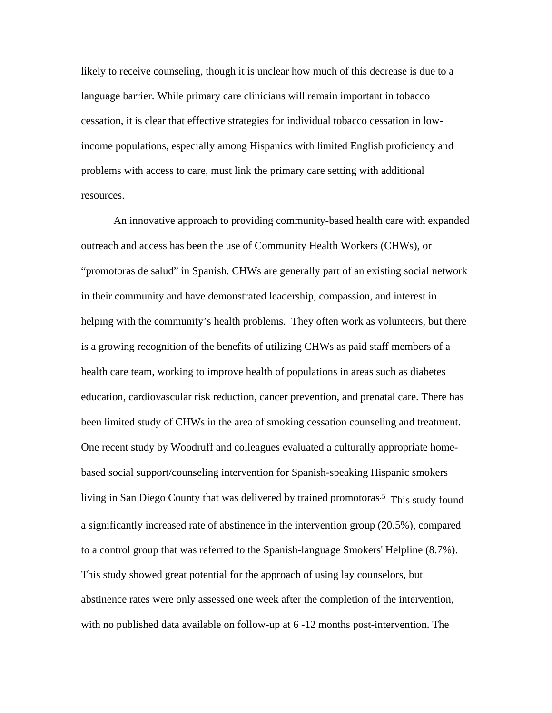likely to receive counseling, though it is unclear how much of this decrease is due to a language barrier. While primary care clinicians will remain important in tobacco cessation, it is clear that effective strategies for individual tobacco cessation in lowincome populations, especially among Hispanics with limited English proficiency and problems with access to care, must link the primary care setting with additional resources.

An innovative approach to providing community-based health care with expanded outreach and access has been the use of Community Health Workers (CHWs), or "promotoras de salud" in Spanish. CHWs are generally part of an existing social network in their community and have demonstrated leadership, compassion, and interest in helping with the community's health problems. They often work as volunteers, but there is a growing recognition of the benefits of utilizing CHWs as paid staff members of a health care team, working to improve health of populations in areas such as diabetes education, cardiovascular risk reduction, cancer prevention, and prenatal care. There has been limited study of CHWs in the area of smoking cessation counseling and treatment. One recent study by Woodruff and colleagues evaluated a culturally appropriate homebased social support/counseling intervention for Spanish-speaking Hispanic smokers living in San Diego County that was delivered by trained promotoras<sup>[5](#page-20-1)</sup> This study found a significantly increased rate of abstinence in the intervention group (20.5%), compared to a control group that was referred to the Spanish-language Smokers' Helpline (8.7%). This study showed great potential for the approach of using lay counselors, but abstinence rates were only assessed one week after the completion of the intervention, with no published data available on follow-up at 6 -12 months post-intervention. The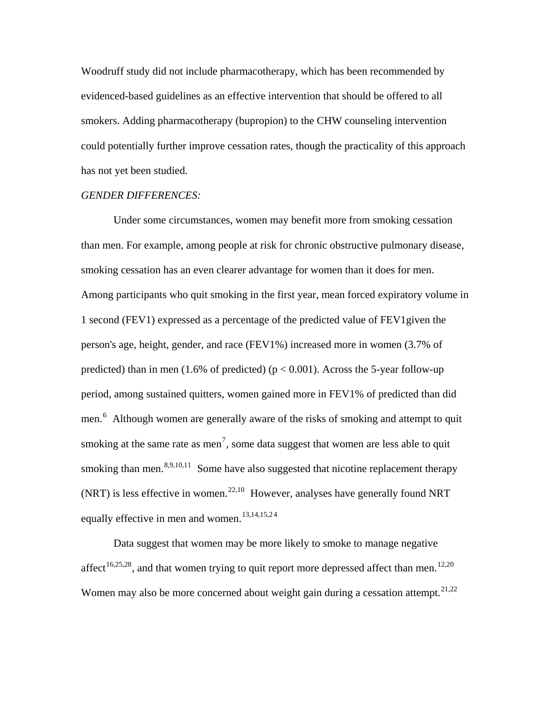Woodruff study did not include pharmacotherapy, which has been recommended by evidenced-based guidelines as an effective intervention that should be offered to all smokers. Adding pharmacotherapy (bupropion) to the CHW counseling intervention could potentially further improve cessation rates, though the practicality of this approach has not yet been studied.

#### *GENDER DIFFERENCES:*

Under some circumstances, women may benefit more from smoking cessation than men. For example, among people at risk for chronic obstructive pulmonary disease, smoking cessation has an even clearer advantage for women than it does for men. Among participants who quit smoking in the first year, mean forced expiratory volume in 1 second (FEV1) expressed as a percentage of the predicted value of FEV1given the person's age, height, gender, and race (FEV1%) increased more in women (3.7% of predicted) than in men (1.6% of predicted) ( $p < 0.001$ ). Across the 5-year follow-up period, among sustained quitters, women gained more in FEV1% of predicted than did men.<sup>[6](#page-20-1)</sup> Although women are generally aware of the risks of smoking and attempt to quit smoking at the same rate as men<sup>[7](#page-20-1)</sup>, some data suggest that women are less able to quit smoking than men.  $8,9,10,11$  Some have also suggested that nicotine replacement therapy (NRT) is less effective in women.<sup>[22,10](#page-20-1)</sup> However, analyses have generally found NRT equally effective in men and women.<sup>[13,14,15,2](#page-20-1)[4](#page-20-1)</sup>

Data suggest that women may be more likely to smoke to manage negative affect<sup>[16,25,28](#page-20-1)</sup>, and that women trying to quit report more depressed affect than men.<sup>[12,20](#page-20-1)</sup> Women may also be more concerned about weight gain during a cessation attempt.<sup>[21,22](#page-20-1)</sup>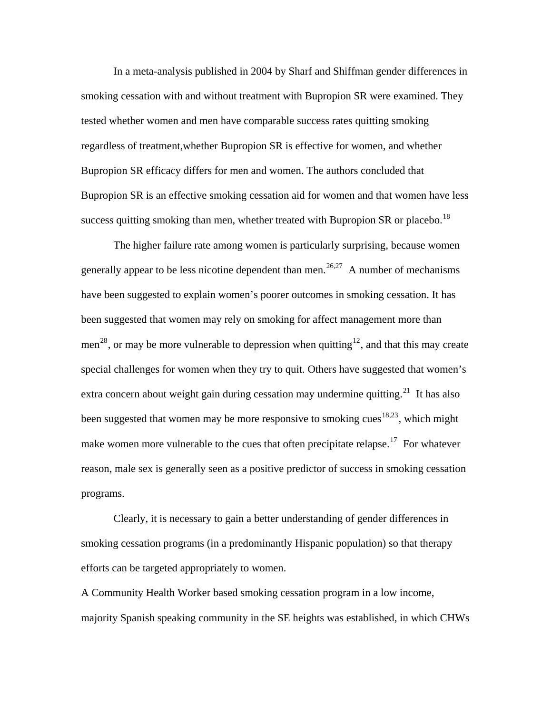In a meta-analysis published in 2004 by Sharf and Shiffman gender differences in smoking cessation with and without treatment with Bupropion SR were examined. They tested whether women and men have comparable success rates quitting smoking regardless of treatment,whether Bupropion SR is effective for women, and whether Bupropion SR efficacy differs for men and women. The authors concluded that Bupropion SR is an effective smoking cessation aid for women and that women have less success quitting smoking than men, whether treated with Bupropion SR or placebo.<sup>[18](#page-20-1)</sup>

The higher failure rate among women is particularly surprising, because women generally appear to be less nicotine dependent than men.<sup>[26,27](#page-20-1)</sup> A number of mechanisms have been suggested to explain women's poorer outcomes in smoking cessation. It has been suggested that women may rely on smoking for affect management more than men<sup>[28](#page-20-1)</sup>, or may be more vulnerable to depression when quitting<sup>[12](#page-20-1)</sup>, and that this may create special challenges for women when they try to quit. Others have suggested that women's extra concern about weight gain during cessation may undermine quitting.<sup>[21](#page-20-1)</sup> It has also been suggested that women may be more responsive to smoking cues<sup>[18,23](#page-20-1)</sup>, which might make women more vulnerable to the cues that often precipitate relapse.<sup>[17](#page-20-1)</sup> For whatever reason, male sex is generally seen as a positive predictor of success in smoking cessation programs.

Clearly, it is necessary to gain a better understanding of gender differences in smoking cessation programs (in a predominantly Hispanic population) so that therapy efforts can be targeted appropriately to women.

A Community Health Worker based smoking cessation program in a low income, majority Spanish speaking community in the SE heights was established, in which CHWs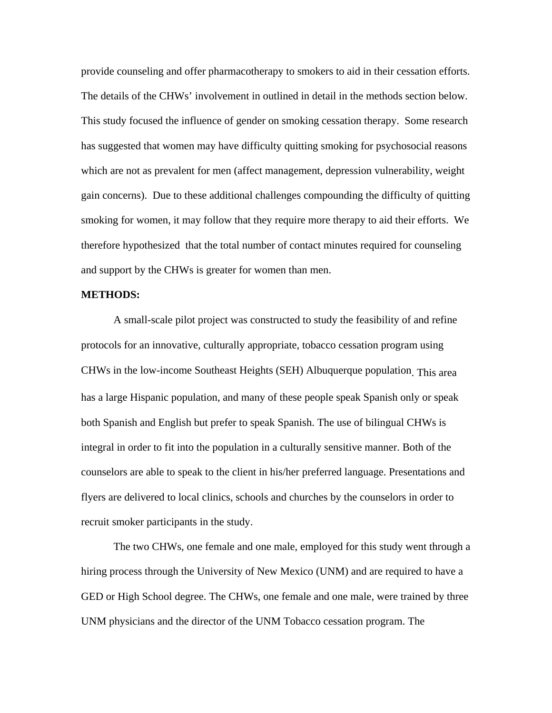provide counseling and offer pharmacotherapy to smokers to aid in their cessation efforts. The details of the CHWs' involvement in outlined in detail in the methods section below. This study focused the influence of gender on smoking cessation therapy. Some research has suggested that women may have difficulty quitting smoking for psychosocial reasons which are not as prevalent for men (affect management, depression vulnerability, weight gain concerns). Due to these additional challenges compounding the difficulty of quitting smoking for women, it may follow that they require more therapy to aid their efforts. We therefore hypothesized that the total number of contact minutes required for counseling and support by the CHWs is greater for women than men.

#### **METHODS:**

A small-scale pilot project was constructed to study the feasibility of and refine protocols for an innovative, culturally appropriate, tobacco cessation program using CHWs in the low-income Southeast Heights (SEH) Albuquerque population. This area has a large Hispanic population, and many of these people speak Spanish only or speak both Spanish and English but prefer to speak Spanish. The use of bilingual CHWs is integral in order to fit into the population in a culturally sensitive manner. Both of the counselors are able to speak to the client in his/her preferred language. Presentations and flyers are delivered to local clinics, schools and churches by the counselors in order to recruit smoker participants in the study.

The two CHWs, one female and one male, employed for this study went through a hiring process through the University of New Mexico (UNM) and are required to have a GED or High School degree. The CHWs, one female and one male, were trained by three UNM physicians and the director of the UNM Tobacco cessation program. The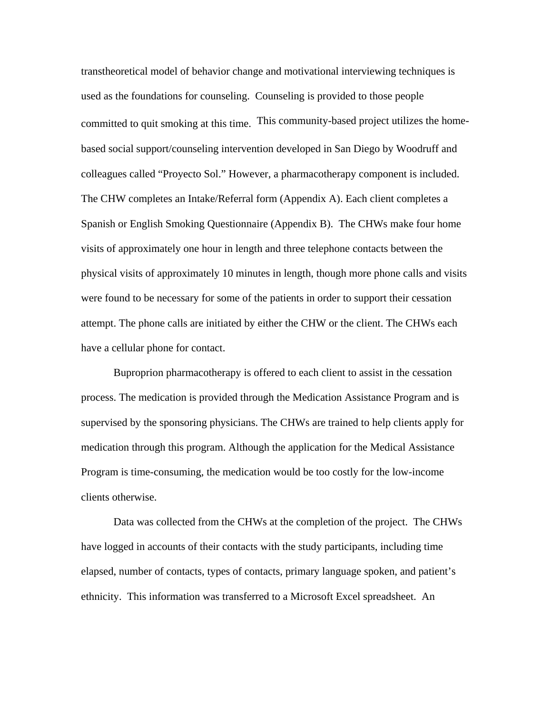transtheoretical model of behavior change and motivational interviewing techniques is used as the foundations for counseling. Counseling is provided to those people committed to quit smoking at this time. This community-based project utilizes the homebased social support/counseling intervention developed in San Diego by Woodruff and colleagues called "Proyecto Sol." However, a pharmacotherapy component is included. The CHW completes an Intake/Referral form (Appendix A). Each client completes a Spanish or English Smoking Questionnaire (Appendix B). The CHWs make four home visits of approximately one hour in length and three telephone contacts between the physical visits of approximately 10 minutes in length, though more phone calls and visits were found to be necessary for some of the patients in order to support their cessation attempt. The phone calls are initiated by either the CHW or the client. The CHWs each have a cellular phone for contact.

Buproprion pharmacotherapy is offered to each client to assist in the cessation process. The medication is provided through the Medication Assistance Program and is supervised by the sponsoring physicians. The CHWs are trained to help clients apply for medication through this program. Although the application for the Medical Assistance Program is time-consuming, the medication would be too costly for the low-income clients otherwise.

Data was collected from the CHWs at the completion of the project. The CHWs have logged in accounts of their contacts with the study participants, including time elapsed, number of contacts, types of contacts, primary language spoken, and patient's ethnicity. This information was transferred to a Microsoft Excel spreadsheet. An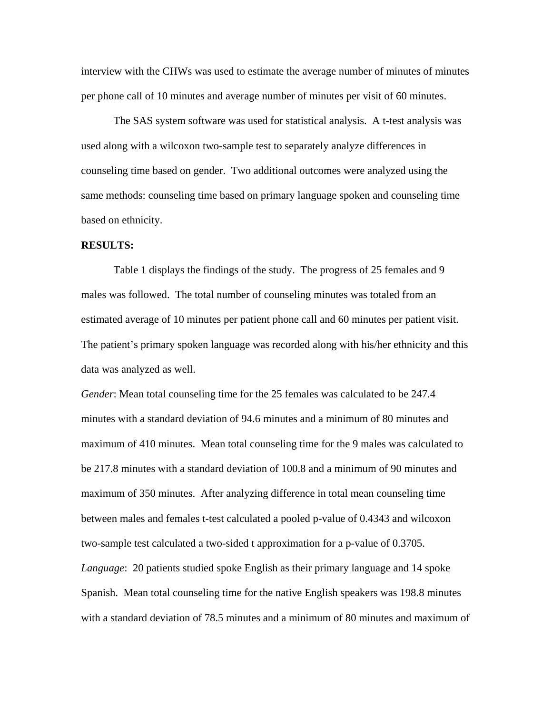interview with the CHWs was used to estimate the average number of minutes of minutes per phone call of 10 minutes and average number of minutes per visit of 60 minutes.

The SAS system software was used for statistical analysis. A t-test analysis was used along with a wilcoxon two-sample test to separately analyze differences in counseling time based on gender. Two additional outcomes were analyzed using the same methods: counseling time based on primary language spoken and counseling time based on ethnicity.

#### **RESULTS:**

Table 1 displays the findings of the study. The progress of 25 females and 9 males was followed. The total number of counseling minutes was totaled from an estimated average of 10 minutes per patient phone call and 60 minutes per patient visit. The patient's primary spoken language was recorded along with his/her ethnicity and this data was analyzed as well.

*Gender*: Mean total counseling time for the 25 females was calculated to be 247.4 minutes with a standard deviation of 94.6 minutes and a minimum of 80 minutes and maximum of 410 minutes. Mean total counseling time for the 9 males was calculated to be 217.8 minutes with a standard deviation of 100.8 and a minimum of 90 minutes and maximum of 350 minutes. After analyzing difference in total mean counseling time between males and females t-test calculated a pooled p-value of 0.4343 and wilcoxon two-sample test calculated a two-sided t approximation for a p-value of 0.3705. *Language*: 20 patients studied spoke English as their primary language and 14 spoke Spanish. Mean total counseling time for the native English speakers was 198.8 minutes with a standard deviation of 78.5 minutes and a minimum of 80 minutes and maximum of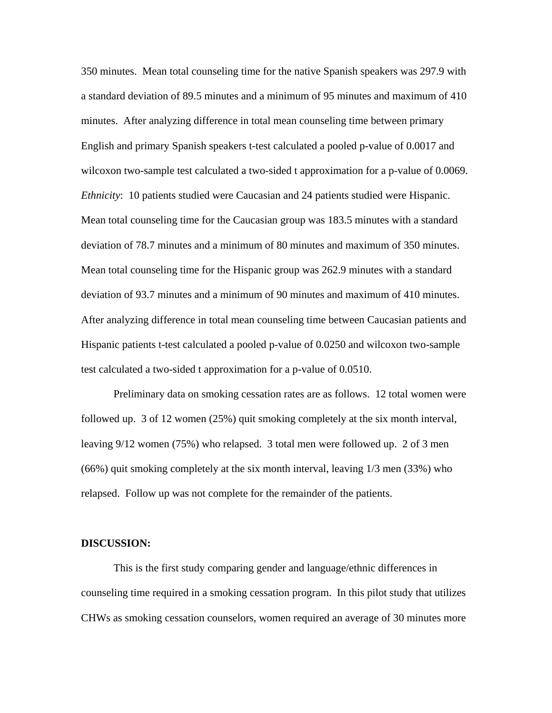350 minutes. Mean total counseling time for the native Spanish speakers was 297.9 with a standard deviation of 89.5 minutes and a minimum of 95 minutes and maximum of 410 minutes. After analyzing difference in total mean counseling time between primary English and primary Spanish speakers t-test calculated a pooled p-value of 0.0017 and wilcoxon two-sample test calculated a two-sided t approximation for a p-value of 0.0069. *Ethnicity*: 10 patients studied were Caucasian and 24 patients studied were Hispanic. Mean total counseling time for the Caucasian group was 183.5 minutes with a standard deviation of 78.7 minutes and a minimum of 80 minutes and maximum of 350 minutes. Mean total counseling time for the Hispanic group was 262.9 minutes with a standard deviation of 93.7 minutes and a minimum of 90 minutes and maximum of 410 minutes. After analyzing difference in total mean counseling time between Caucasian patients and Hispanic patients t-test calculated a pooled p-value of 0.0250 and wilcoxon two-sample test calculated a two-sided t approximation for a p-value of 0.0510.

 Preliminary data on smoking cessation rates are as follows. 12 total women were followed up. 3 of 12 women (25%) quit smoking completely at the six month interval, leaving 9/12 women (75%) who relapsed. 3 total men were followed up. 2 of 3 men (66%) quit smoking completely at the six month interval, leaving 1/3 men (33%) who relapsed. Follow up was not complete for the remainder of the patients.

#### **DISCUSSION:**

This is the first study comparing gender and language/ethnic differences in counseling time required in a smoking cessation program. In this pilot study that utilizes CHWs as smoking cessation counselors, women required an average of 30 minutes more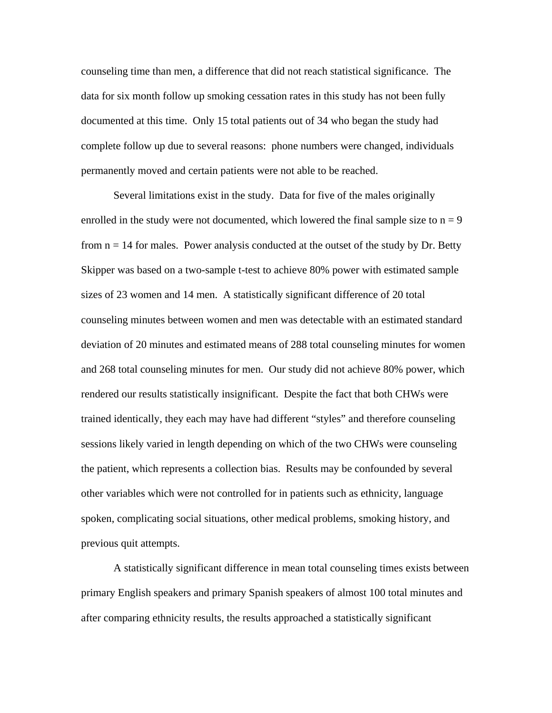counseling time than men, a difference that did not reach statistical significance. The data for six month follow up smoking cessation rates in this study has not been fully documented at this time. Only 15 total patients out of 34 who began the study had complete follow up due to several reasons: phone numbers were changed, individuals permanently moved and certain patients were not able to be reached.

Several limitations exist in the study. Data for five of the males originally enrolled in the study were not documented, which lowered the final sample size to  $n = 9$ from  $n = 14$  for males. Power analysis conducted at the outset of the study by Dr. Betty Skipper was based on a two-sample t-test to achieve 80% power with estimated sample sizes of 23 women and 14 men. A statistically significant difference of 20 total counseling minutes between women and men was detectable with an estimated standard deviation of 20 minutes and estimated means of 288 total counseling minutes for women and 268 total counseling minutes for men. Our study did not achieve 80% power, which rendered our results statistically insignificant. Despite the fact that both CHWs were trained identically, they each may have had different "styles" and therefore counseling sessions likely varied in length depending on which of the two CHWs were counseling the patient, which represents a collection bias. Results may be confounded by several other variables which were not controlled for in patients such as ethnicity, language spoken, complicating social situations, other medical problems, smoking history, and previous quit attempts.

A statistically significant difference in mean total counseling times exists between primary English speakers and primary Spanish speakers of almost 100 total minutes and after comparing ethnicity results, the results approached a statistically significant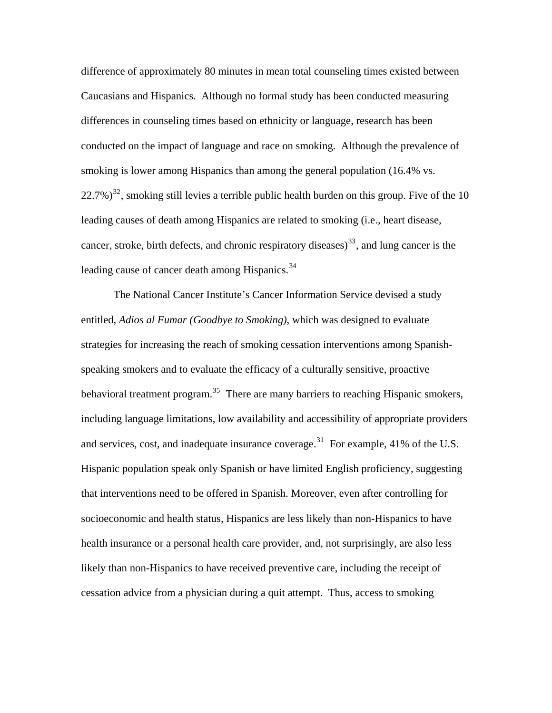difference of approximately 80 minutes in mean total counseling times existed between Caucasians and Hispanics. Although no formal study has been conducted measuring differences in counseling times based on ethnicity or language, research has been conducted on the impact of language and race on smoking. Although the prevalence of smoking is lower among Hispanics than among the general population (16.4% vs.  $(22.7%)^{32}$  $(22.7%)^{32}$  $(22.7%)^{32}$ , smoking still levies a terrible public health burden on this group. Five of the 10 leading causes of death among Hispanics are related to smoking (i.e., heart disease, cancer, stroke, birth defects, and chronic respiratory diseases)<sup>[33](#page-20-1)</sup>, and lung cancer is the leading cause of cancer death among Hispanics.<sup>[34](#page-20-1)</sup>

The National Cancer Institute's Cancer Information Service devised a study entitled, *Adios al Fumar (Goodbye to Smoking)*, which was designed to evaluate strategies for increasing the reach of smoking cessation interventions among Spanishspeaking smokers and to evaluate the efficacy of a culturally sensitive, proactive behavioral treatment program.<sup>[35](#page-20-1)</sup> There are many barriers to reaching Hispanic smokers, including language limitations, low availability and accessibility of appropriate providers and services, cost, and inadequate insurance coverage.<sup>[31](#page-20-1)</sup> For example, 41% of the U.S. Hispanic population speak only Spanish or have limited English proficiency, suggesting that interventions need to be offered in Spanish. Moreover, even after controlling for socioeconomic and health status, Hispanics are less likely than non-Hispanics to have health insurance or a personal health care provider, and, not surprisingly, are also less likely than non-Hispanics to have received preventive care, including the receipt of cessation advice from a physician during a quit attempt. Thus, access to smoking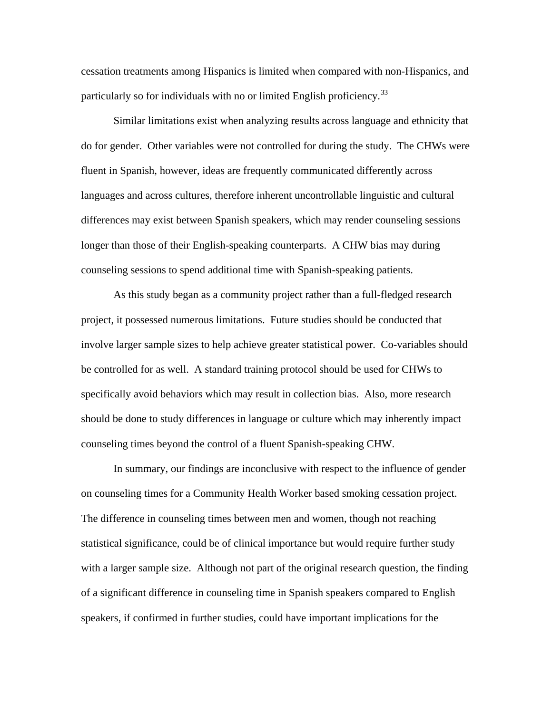cessation treatments among Hispanics is limited when compared with non-Hispanics, and particularly so for individuals with no or limited English proficiency.<sup>[33](#page-20-1)</sup>

Similar limitations exist when analyzing results across language and ethnicity that do for gender. Other variables were not controlled for during the study. The CHWs were fluent in Spanish, however, ideas are frequently communicated differently across languages and across cultures, therefore inherent uncontrollable linguistic and cultural differences may exist between Spanish speakers, which may render counseling sessions longer than those of their English-speaking counterparts. A CHW bias may during counseling sessions to spend additional time with Spanish-speaking patients.

As this study began as a community project rather than a full-fledged research project, it possessed numerous limitations. Future studies should be conducted that involve larger sample sizes to help achieve greater statistical power. Co-variables should be controlled for as well. A standard training protocol should be used for CHWs to specifically avoid behaviors which may result in collection bias. Also, more research should be done to study differences in language or culture which may inherently impact counseling times beyond the control of a fluent Spanish-speaking CHW.

In summary, our findings are inconclusive with respect to the influence of gender on counseling times for a Community Health Worker based smoking cessation project. The difference in counseling times between men and women, though not reaching statistical significance, could be of clinical importance but would require further study with a larger sample size. Although not part of the original research question, the finding of a significant difference in counseling time in Spanish speakers compared to English speakers, if confirmed in further studies, could have important implications for the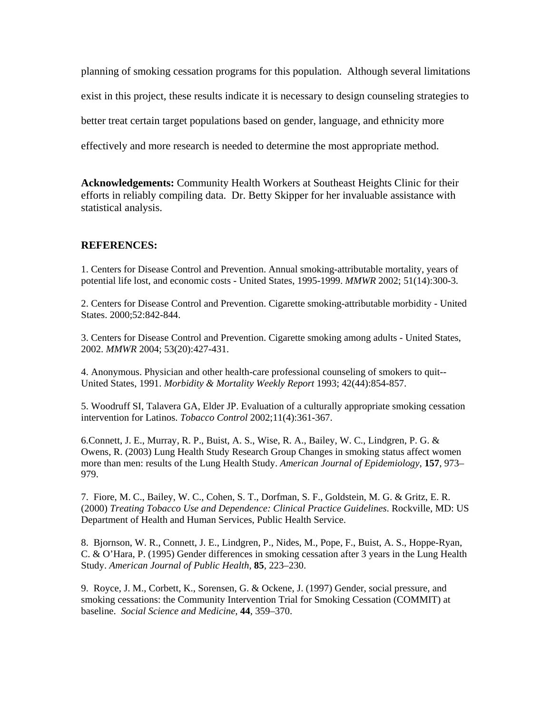planning of smoking cessation programs for this population. Although several limitations exist in this project, these results indicate it is necessary to design counseling strategies to better treat certain target populations based on gender, language, and ethnicity more effectively and more research is needed to determine the most appropriate method.

**Acknowledgements:** Community Health Workers at Southeast Heights Clinic for their efforts in reliably compiling data. Dr. Betty Skipper for her invaluable assistance with statistical analysis.

#### **REFERENCES:**

1. Centers for Disease Control and Prevention. Annual smoking-attributable mortality, years of potential life lost, and economic costs - United States, 1995-1999. *MMWR* 2002; 51(14):300-3.

2. Centers for Disease Control and Prevention. Cigarette smoking-attributable morbidity - United States. 2000;52:842-844.

3. Centers for Disease Control and Prevention. Cigarette smoking among adults - United States, 2002. *MMWR* 2004; 53(20):427-431.

4. Anonymous. Physician and other health-care professional counseling of smokers to quit-- United States, 1991. *Morbidity & Mortality Weekly Report* 1993; 42(44):854-857.

5. Woodruff SI, Talavera GA, Elder JP. Evaluation of a culturally appropriate smoking cessation intervention for Latinos. *Tobacco Control* 2002;11(4):361-367.

6.Connett, J. E., Murray, R. P., Buist, A. S., Wise, R. A., Bailey, W. C., Lindgren, P. G. & Owens, R. (2003) Lung Health Study Research Group Changes in smoking status affect women more than men: results of the Lung Health Study. *American Journal of Epidemiology*, **157**, 973– 979.

7. Fiore, M. C., Bailey, W. C., Cohen, S. T., Dorfman, S. F., Goldstein, M. G. & Gritz, E. R. (2000) *Treating Tobacco Use and Dependence: Clinical Practice Guidelines*. Rockville, MD: US Department of Health and Human Services, Public Health Service.

8. Bjornson, W. R., Connett, J. E., Lindgren, P., Nides, M., Pope, F., Buist, A. S., Hoppe-Ryan, C. & O'Hara, P. (1995) Gender differences in smoking cessation after 3 years in the Lung Health Study. *American Journal of Public Health*, **85**, 223–230.

9. Royce, J. M., Corbett, K., Sorensen, G. & Ockene, J. (1997) Gender, social pressure, and smoking cessations: the Community Intervention Trial for Smoking Cessation (COMMIT) at baseline. *Social Science and Medicine*, **44**, 359–370.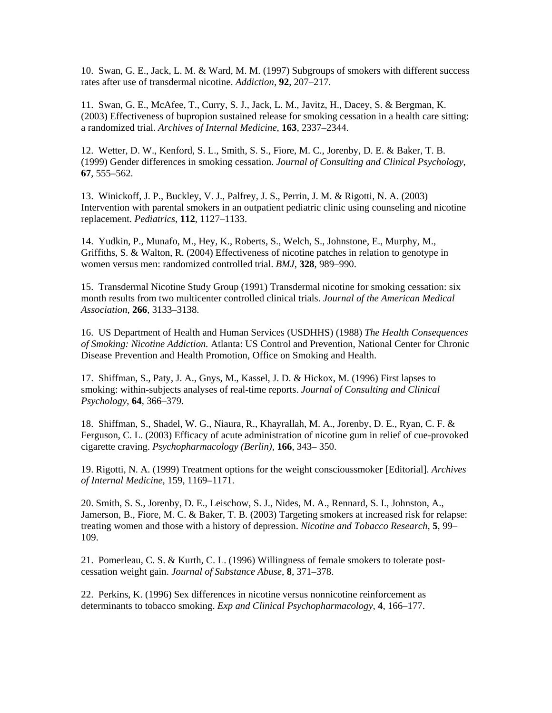10. Swan, G. E., Jack, L. M. & Ward, M. M. (1997) Subgroups of smokers with different success rates after use of transdermal nicotine. *Addiction*, **92**, 207–217.

11. Swan, G. E., McAfee, T., Curry, S. J., Jack, L. M., Javitz, H., Dacey, S. & Bergman, K. (2003) Effectiveness of bupropion sustained release for smoking cessation in a health care sitting: a randomized trial. *Archives of Internal Medicine*, **163**, 2337–2344.

12. Wetter, D. W., Kenford, S. L., Smith, S. S., Fiore, M. C., Jorenby, D. E. & Baker, T. B. (1999) Gender differences in smoking cessation. *Journal of Consulting and Clinical Psychology*, **67**, 555–562.

13. Winickoff, J. P., Buckley, V. J., Palfrey, J. S., Perrin, J. M. & Rigotti, N. A. (2003) Intervention with parental smokers in an outpatient pediatric clinic using counseling and nicotine replacement. *Pediatrics*, **112**, 1127–1133.

14. Yudkin, P., Munafo, M., Hey, K., Roberts, S., Welch, S., Johnstone, E., Murphy, M., Griffiths, S. & Walton, R. (2004) Effectiveness of nicotine patches in relation to genotype in women versus men: randomized controlled trial. *BMJ*, **328**, 989–990.

15. Transdermal Nicotine Study Group (1991) Transdermal nicotine for smoking cessation: six month results from two multicenter controlled clinical trials. *Journal of the American Medical Association*, **266**, 3133–3138.

16. US Department of Health and Human Services (USDHHS) (1988) *The Health Consequences of Smoking: Nicotine Addiction.* Atlanta: US Control and Prevention, National Center for Chronic Disease Prevention and Health Promotion, Office on Smoking and Health.

17. Shiffman, S., Paty, J. A., Gnys, M., Kassel, J. D. & Hickox, M. (1996) First lapses to smoking: within-subjects analyses of real-time reports. *Journal of Consulting and Clinical Psychology*, **64**, 366–379.

18. Shiffman, S., Shadel, W. G., Niaura, R., Khayrallah, M. A., Jorenby, D. E., Ryan, C. F. & Ferguson, C. L. (2003) Efficacy of acute administration of nicotine gum in relief of cue-provoked cigarette craving. *Psychopharmacology (Berlin)*, **166**, 343– 350.

19. Rigotti, N. A. (1999) Treatment options for the weight conscioussmoker [Editorial]. *Archives of Internal Medicine*, 159, 1169–1171.

20. Smith, S. S., Jorenby, D. E., Leischow, S. J., Nides, M. A., Rennard, S. I., Johnston, A., Jamerson, B., Fiore, M. C. & Baker, T. B. (2003) Targeting smokers at increased risk for relapse: treating women and those with a history of depression. *Nicotine and Tobacco Research*, **5**, 99– 109.

21. Pomerleau, C. S. & Kurth, C. L. (1996) Willingness of female smokers to tolerate postcessation weight gain. *Journal of Substance Abuse*, **8**, 371–378.

22. Perkins, K. (1996) Sex differences in nicotine versus nonnicotine reinforcement as determinants to tobacco smoking. *Exp and Clinical Psychopharmacology*, **4**, 166–177.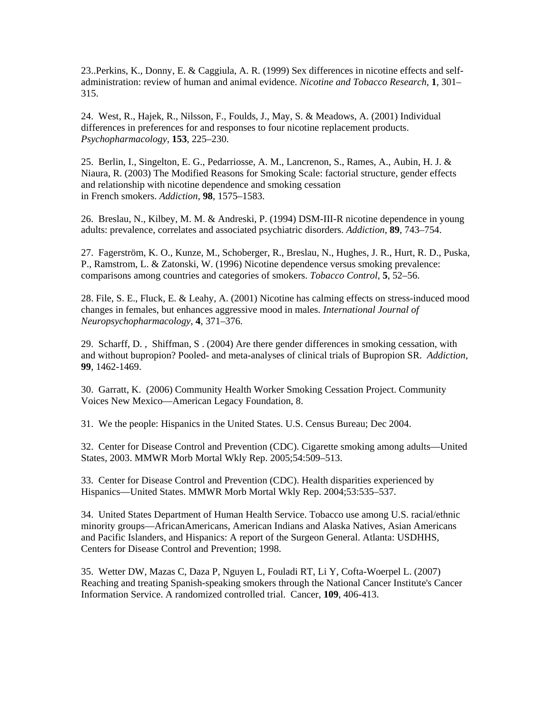23..Perkins, K., Donny, E. & Caggiula, A. R. (1999) Sex differences in nicotine effects and selfadministration: review of human and animal evidence. *Nicotine and Tobacco Research*, **1**, 301– 315.

24. West, R., Hajek, R., Nilsson, F., Foulds, J., May, S. & Meadows, A. (2001) Individual differences in preferences for and responses to four nicotine replacement products. *Psychopharmacology*, **153**, 225–230.

25. Berlin, I., Singelton, E. G., Pedarriosse, A. M., Lancrenon, S., Rames, A., Aubin, H. J. & Niaura, R. (2003) The Modified Reasons for Smoking Scale: factorial structure, gender effects and relationship with nicotine dependence and smoking cessation in French smokers. *Addiction*, **98**, 1575–1583.

26. Breslau, N., Kilbey, M. M. & Andreski, P. (1994) DSM-III-R nicotine dependence in young adults: prevalence, correlates and associated psychiatric disorders. *Addiction*, **89**, 743–754.

27. Fagerström, K. O., Kunze, M., Schoberger, R., Breslau, N., Hughes, J. R., Hurt, R. D., Puska, P., Ramstrom, L. & Zatonski, W. (1996) Nicotine dependence versus smoking prevalence: comparisons among countries and categories of smokers. *Tobacco Control*, **5**, 52–56.

28. File, S. E., Fluck, E. & Leahy, A. (2001) Nicotine has calming effects on stress-induced mood changes in females, but enhances aggressive mood in males. *International Journal of Neuropsychopharmacology*, **4**, 371–376.

29. Scharff, D. , Shiffman, S . (2004) Are there gender differences in smoking cessation, with and without bupropion? Pooled- and meta-analyses of clinical trials of Bupropion SR. *Addiction,*  **99**, 1462-1469.

30. Garratt, K. (2006) Community Health Worker Smoking Cessation Project. Community Voices New Mexico—American Legacy Foundation, 8.

31. We the people: Hispanics in the United States. U.S. Census Bureau; Dec 2004.

32. Center for Disease Control and Prevention (CDC). Cigarette smoking among adults—United States, 2003. MMWR Morb Mortal Wkly Rep. 2005;54:509–513.

33. Center for Disease Control and Prevention (CDC). Health disparities experienced by Hispanics—United States. MMWR Morb Mortal Wkly Rep. 2004;53:535–537.

34. United States Department of Human Health Service. Tobacco use among U.S. racial/ethnic minority groups—AfricanAmericans, American Indians and Alaska Natives, Asian Americans and Pacific Islanders, and Hispanics: A report of the Surgeon General. Atlanta: USDHHS, Centers for Disease Control and Prevention; 1998.

35. [Wetter DW, Mazas C, Daza P, Nguyen L, Fouladi RT, Li Y, Cofta-Woerpel L.](http://www.ncbi.nlm.nih.gov.libproxy.unm.edu/entrez/query.fcgi?db=pubmed&cmd=Retrieve&dopt=AbstractPlus&list_uids=17149758&query_hl=1&itool=pubmed_docsum) (2007) Reaching and treating Spanish-speaking smokers through the National Cancer Institute's Cancer Information Service. A randomized controlled trial. Cancer, **109**, 406-413.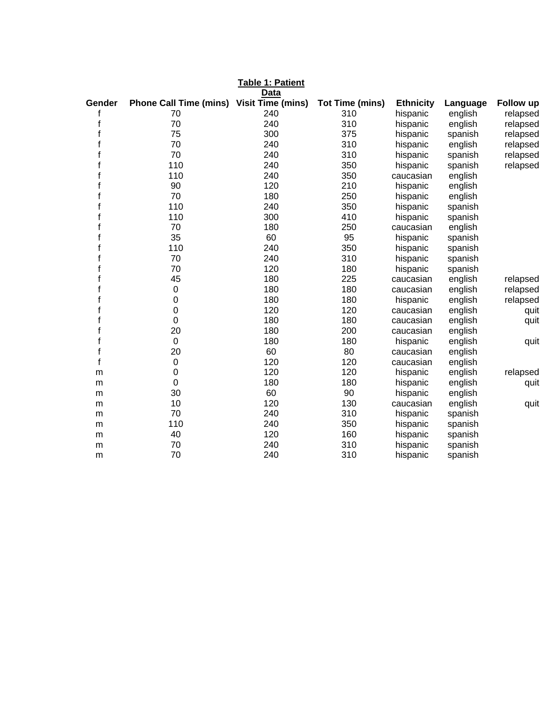|              |                               | Table 1: Patient<br>Data |                        |                  |          |           |
|--------------|-------------------------------|--------------------------|------------------------|------------------|----------|-----------|
| Gender       | <b>Phone Call Time (mins)</b> | <b>Visit Time (mins)</b> | <b>Tot Time (mins)</b> | <b>Ethnicity</b> | Language | Follow up |
|              | 70                            | 240                      | 310                    | hispanic         | english  | relapsed  |
| $\mathsf{f}$ | 70                            | 240                      | 310                    | hispanic         | english  | relapsed  |
| f            | 75                            | 300                      | 375                    | hispanic         | spanish  | relapsed  |
| f            | 70                            | 240                      | 310                    | hispanic         | english  | relapsed  |
| f            | 70                            | 240                      | 310                    | hispanic         | spanish  | relapsed  |
|              | 110                           | 240                      | 350                    | hispanic         | spanish  | relapsed  |
|              | 110                           | 240                      | 350                    | caucasian        | english  |           |
|              | 90                            | 120                      | 210                    | hispanic         | english  |           |
|              | 70                            | 180                      | 250                    | hispanic         | english  |           |
|              | 110                           | 240                      | 350                    | hispanic         | spanish  |           |
|              | 110                           | 300                      | 410                    | hispanic         | spanish  |           |
|              | 70                            | 180                      | 250                    | caucasian        | english  |           |
|              | 35                            | 60                       | 95                     | hispanic         | spanish  |           |
|              | 110                           | 240                      | 350                    | hispanic         | spanish  |           |
|              | 70                            | 240                      | 310                    | hispanic         | spanish  |           |
|              | 70                            | 120                      | 180                    | hispanic         | spanish  |           |
|              | 45                            | 180                      | 225                    | caucasian        | english  | relapsed  |
|              | 0                             | 180                      | 180                    | caucasian        | english  | relapsed  |
|              | 0                             | 180                      | 180                    | hispanic         | english  | relapsed  |
|              | 0                             | 120                      | 120                    | caucasian        | english  | quit      |
|              | $\mathbf 0$                   | 180                      | 180                    | caucasian        | english  | quit      |
|              | 20                            | 180                      | 200                    | caucasian        | english  |           |
|              | $\mathbf 0$                   | 180                      | 180                    | hispanic         | english  | quit      |
|              | 20                            | 60                       | 80                     | caucasian        | english  |           |
| f            | 0                             | 120                      | 120                    | caucasian        | english  |           |
| m            | 0                             | 120                      | 120                    | hispanic         | english  | relapsed  |
| m            | 0                             | 180                      | 180                    | hispanic         | english  | quit      |
| m            | 30                            | 60                       | 90                     | hispanic         | english  |           |
| m            | 10                            | 120                      | 130                    | caucasian        | english  | quit      |
| m            | 70                            | 240                      | 310                    | hispanic         | spanish  |           |
| m            | 110                           | 240                      | 350                    | hispanic         | spanish  |           |
| m            | 40                            | 120                      | 160                    | hispanic         | spanish  |           |
| m            | 70                            | 240                      | 310                    | hispanic         | spanish  |           |
| m            | 70                            | 240                      | 310                    | hispanic         | spanish  |           |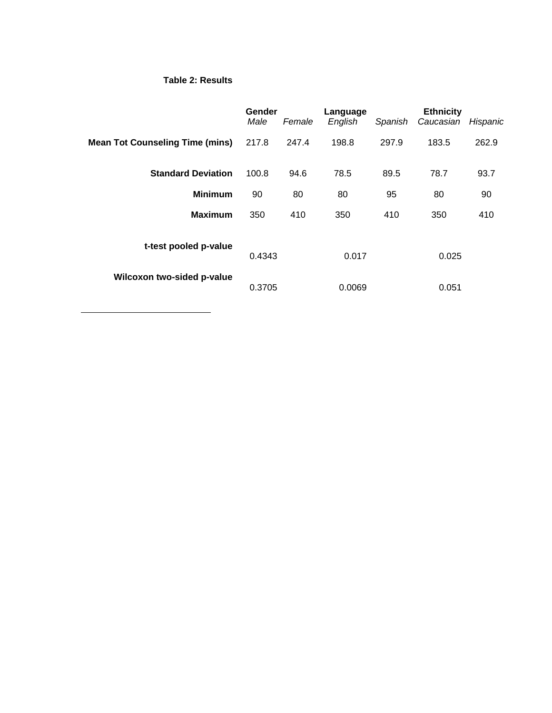#### **Table 2: Results**

 $\overline{a}$ 

|                                        | Gender<br>Male | Female | Language<br>English | Spanish | <b>Ethnicity</b><br>Caucasian | Hispanic |
|----------------------------------------|----------------|--------|---------------------|---------|-------------------------------|----------|
| <b>Mean Tot Counseling Time (mins)</b> | 217.8          | 247.4  | 198.8               | 297.9   | 183.5                         | 262.9    |
| <b>Standard Deviation</b>              | 100.8          | 94.6   | 78.5                | 89.5    | 78.7                          | 93.7     |
| <b>Minimum</b>                         | 90             | 80     | 80                  | 95      | 80                            | 90       |
| <b>Maximum</b>                         | 350            | 410    | 350                 | 410     | 350                           | 410      |
| t-test pooled p-value                  | 0.4343         |        | 0.017               |         | 0.025                         |          |
| Wilcoxon two-sided p-value             | 0.3705         |        | 0.0069              |         | 0.051                         |          |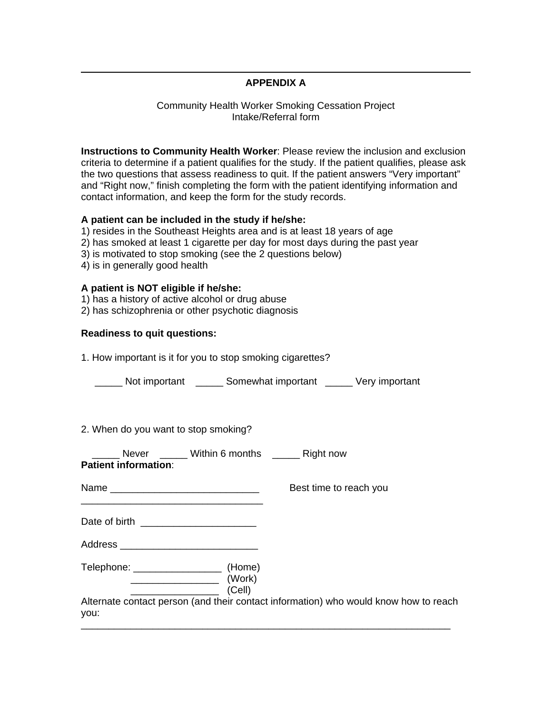#### **APPENDIX A**

#### Community Health Worker Smoking Cessation Project Intake/Referral form

**Instructions to Community Health Worker**: Please review the inclusion and exclusion criteria to determine if a patient qualifies for the study. If the patient qualifies, please ask the two questions that assess readiness to quit. If the patient answers "Very important" and "Right now," finish completing the form with the patient identifying information and contact information, and keep the form for the study records.

#### **A patient can be included in the study if he/she:**

1) resides in the Southeast Heights area and is at least 18 years of age

- 2) has smoked at least 1 cigarette per day for most days during the past year
- 3) is motivated to stop smoking (see the 2 questions below)
- 4) is in generally good health

 $\overline{a}$ 

#### **A patient is NOT eligible if he/she:**

- 1) has a history of active alcohol or drug abuse
- 2) has schizophrenia or other psychotic diagnosis

#### **Readiness to quit questions:**

|  | 1. How important is it for you to stop smoking cigarettes? |  |  |  |  |
|--|------------------------------------------------------------|--|--|--|--|
|--|------------------------------------------------------------|--|--|--|--|

Not important Somewhat important Very important

#### 2. When do you want to stop smoking?

| <b>Patient information:</b> | Never _____ Within 6 months _______ Right now                        |                                                                                      |  |
|-----------------------------|----------------------------------------------------------------------|--------------------------------------------------------------------------------------|--|
|                             | <u> 1989 - Johann John Stone, mension eta politikaria (h. 1908).</u> | Best time to reach you                                                               |  |
|                             |                                                                      |                                                                                      |  |
|                             |                                                                      |                                                                                      |  |
|                             | (Work)<br>(Cell)                                                     |                                                                                      |  |
| you:                        |                                                                      | Alternate contact person (and their contact information) who would know how to reach |  |